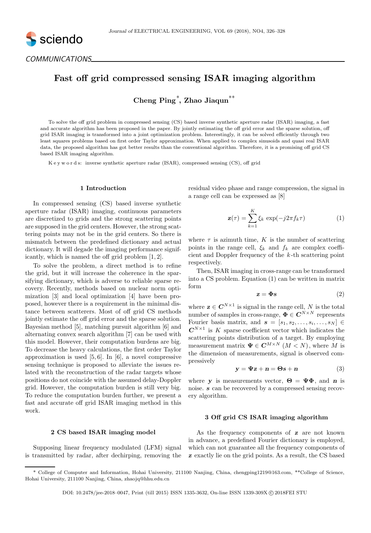

COMMUNICATIONS

# Fast off grid compressed sensing ISAR imaging algorithm

Cheng Ping<sup>∗</sup> , Zhao Jiaqun∗∗

To solve the off grid problem in compressed sensing (CS) based inverse synthetic aperture radar (ISAR) imaging, a fast and accurate algorithm has been proposed in the paper. By jointly estimating the off grid error and the sparse solution, off grid ISAR imaging is transformed into a joint optimization problem. Interestingly, it can be solved efficiently through two least squares problems based on first order Taylor approximation. When applied to complex sinusoids and quasi real ISAR data, the proposed algorithm has got better results than the conventional algorithm. Therefore, it is a promising off grid CS based ISAR imaging algorithm.

K e y w o r d s: inverse synthetic aperture radar (ISAR), compressed sensing (CS), off grid

# 1 Introduction

In compressed sensing (CS) based inverse synthetic aperture radar (ISAR) imaging, continuous parameters are discretized to grids and the strong scattering points are supposed in the grid centers. However, the strong scattering points may not be in the grid centers. So there is mismatch between the predefined dictionary and actual dictionary. It will degade the imaging performance significantly, which is named the off grid problem [1, 2].

To solve the problem, a direct method is to refine the grid, but it will increase the coherence in the sparsifying dictionary, which is adverse to reliable sparse recovery. Recently, methods based on nuclear norm optimization [3] and local optimization [4] have been proposed, however there is a requirement in the minimal distance between scatterers. Most of off grid CS methods jointly estimate the off grid error and the sparse solution. Bayesian method [5], matching pursuit algorithm [6] and alternating convex search algorithm [7] can be used with this model. However, their computation burdens are big. To decrease the heavy calculations, the first order Taylor approximation is used [5, 6]. In [6], a novel compressive sensing technique is proposed to alleviate the issues related with the reconstruction of the radar targets whose positions do not coincide with the assumed delay-Doppler grid. However, the computation burden is still very big. To reduce the computation burden further, we present a fast and accurate off grid ISAR imaging method in this work.

# residual video phase and range compression, the signal in a range cell can be expressed as [8]

$$
\mathbf{z}(\tau) = \sum_{k=1}^{K} \xi_k \exp(-j2\pi f_k \tau) \tag{1}
$$

where  $\tau$  is azimuth time, K is the number of scattering points in the range cell,  $\xi_k$  and  $f_k$  are complex coefficient and Doppler frequency of the k -th scattering point respectively.

Then, ISAR imaging in cross-range can be transformed into a CS problem. Equation (1) can be written in matrix form

$$
z = \Phi s \tag{2}
$$

where  $\mathbf{z} \in \mathbf{C}^{N \times 1}$  is signal in the range cell, N is the total number of samples in cross-range,  $\mathbf{\Phi} \in \mathbf{C}^{N \times N}$  represents Fourier basis matrix, and  $\mathbf{s} = [s_1, s_2, \dots, s_i, \dots, s_N] \in$  $\mathbb{C}^{N\times 1}$  is K sparse coefficient vector which indicates the scattering points distribution of a target. By employing measurement matrix  $\Psi \in \mathbb{C}^{M \times N}$   $(M \leq N)$ , where M is the dimension of measurements, signal is observed compressively

$$
y = \Psi z + n = \Theta s + n \tag{3}
$$

where y is measurements vector,  $\mathbf{\Theta} = \mathbf{\Psi} \mathbf{\Phi}$ , and n is noise. s can be recovered by a compressed sensing recovery algorithm.

# 3 Off grid CS ISAR imaging algorithm

# 2 CS based ISAR imaging model

Supposing linear frequency modulated (LFM) signal is transmitted by radar, after dechirping, removing the

As the frequency components of **z** are not known in advance, a predefined Fourier dictionary is employed, which can not guarantee all the frequency components of z exactly lie on the grid points. As a result, the CS based

<sup>\*</sup> College of Computer and Information, Hohai University, 211100 Nanjing, China, chengping1219@163.com, \*\*College of Science, Hohai University, 211100 Nanjing, China, zhaojq@hhu.edu.cn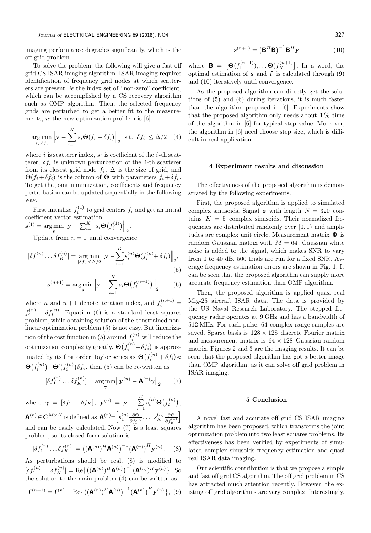imaging performance degrades significantly, which is the off grid problem.

To solve the problem, the following will give a fast off grid CS ISAR imaging algorithm. ISAR imaging requires identification of frequency grid nodes at which scatterers are present, ie the index set of "non-zero" coefficient, which can be accomplished by a CS recovery algorithm such as OMP algorithm. Then, the selected frequency grids are perturbed to get a better fit to the measurements, ie the new optimization problem is [6]

$$
\underset{s_i, \delta f_i}{\arg \min} \left\| \mathbf{y} - \sum_{i=1}^{K} s_i \mathbf{\Theta}(f_i + \delta f_i) \right\|_2 \text{ s.t. } |\delta f_i| \leq \Delta/2 \quad (4)
$$

where i is scatterer index,  $s_i$  is coefficient of the *i*-th scatterer,  $\delta f_i$  is unknown perturbation of the *i*-th scatterer from its closest grid node  $f_i$ ,  $\Delta$  is the size of grid, and  $\Theta(f_i + \delta f_i)$  is the column of  $\Theta$  with parameters  $f_i + \delta f_i$ . To get the joint minimization, coefficients and frequency perturbation can be updated sequentially in the following way.

First initialize  $f_i^{(1)}$  to grid centers  $f_i$  and get an initial coefficient vector estimation

$$
\mathbf{s}^{(1)} = \argmin_{\mathbf{s}} \left\| \mathbf{y} - \sum_{i=1}^{K} s_i \mathbf{\Theta}(f_i^{(1)}) \right\|_2
$$

Update from  $n = 1$  until convergence

$$
[\delta f_1^{(n)} \dots \delta f_K^{(n)}] = \underset{|\delta f_i| \le \Delta/2}{\arg \min} \left\| \mathbf{y} - \sum_{i=1}^K s_i^{(n)} \mathbf{\Theta}(f_i^{(n)} + \delta f_i) \right\|_2,
$$
\n(5)

$$
s^{(n+1)} = \arg\min_{s} \left\| \mathbf{y} - \sum_{i=1}^{K} s_i \Theta(f_i^{(n+1)}) \right\|_2 \qquad (6)
$$

.

where *n* and  $n+1$  denote iteration index, and  $f_i^{(n+1)}$  =  $f_i^{(n)} + \delta f_i^{(n)}$ . Equation (6) is a standard least squares problem, while obtaining solution of the constrained nonlinear optimization problem (5) is not easy. But linearization of the cost function in (5) around  $f_i^{(n)}$  will reduce the optimization complexity greatly.  $\Theta(f_i^{(n)} + \delta f_i)$  is approximated by its first order Taylor series as  $\Theta(f_i^{(n)} + \delta f_i) \approx$  $\mathbf{\Theta}(f_i^{(n)})$  $f_i^{(n)})\!+\!\mathbf{\Theta'}\big(f_i^{(n)}\big)$  $\delta_i^{(n)}\delta f_i$ , then (5) can be re-written as

$$
[\delta f_1^{(n)} \dots \delta f_K^{(n)}] = \underset{\gamma}{\text{arg min}} \left\| \mathbf{y}^{(n)} - \mathbf{A}^{(n)} \gamma \right\|_2 \tag{7}
$$

where  $\boldsymbol{\gamma}~=~[\delta f_1 \ldots \delta f_K],~ \boldsymbol{y}^{(n)}~=~\boldsymbol{y}~-~\sum^K$  $i=1$  $s_i^{(n)}\Theta(f_i^{(n)})$ ,  $\mathbf{A}^{(n)} \in \mathbf{C}^{M \times K}$  is defined as  $\mathbf{A}^{(n)} = \left[ s_1^{(n)} \frac{\partial \mathbf{\Theta}}{\partial f_1^{(n)}}, \dots, s_K^{(n)} \right]$  $\stackrel{(n)}{K}\frac{\partial \mathbf{\Theta}}{\partial f_K^{(n)}}$ i and can be easily calculated. Now (7) is a least squares problem, so its closed-form solution is

$$
[\delta f_1^{(n)} \dots \delta f_K^{(n)}] = ((\mathbf{A}^{(n)})^H \mathbf{A}^{(n)})^{-1} (\mathbf{A}^{(n)})^H \mathbf{y}^{(n)}.
$$
 (8)

As perturbations should be real, (8) is modified to  $[\delta f_1^{(n)} \dots \delta f_K^{(n)}] = \text{Re} \{ (({\bf A}^{(n)})^H {\bf A}^{(n)})^{-1} ({\bf A}^{(n)})^H {\bf y}^{(n)} \}$ . So the solution to the main problem (4) can be written as

$$
\mathbf{f}^{(n+1)} = \mathbf{f}^{(n)} + \text{Re}\{((\mathbf{A}^{(n)})^H \mathbf{A}^{(n)})^{-1} (\mathbf{A}^{(n)})^H \mathbf{y}^{(n)}\}, (9)
$$

$$
\mathbf{s}^{(n+1)} = \left(\mathbf{B}^H \mathbf{B}\right)^{-1} \mathbf{B}^H \mathbf{y} \tag{10}
$$

where  $\mathbf{B} = [\mathbf{\Theta}(f_1^{(n+1)}), \dots \mathbf{\Theta}(f_K^{(n+1)})$  $K^{(n+1)}$ . In a word, the optimal estimation of  $s$  and  $f$  is calculated through (9) and (10) iteratively until convergence.

As the proposed algorithm can directly get the solutions of (5) and (6) during iterations, it is much faster than the algorithm proposed in [6]. Experiments show that the proposed algorithm only needs about  $1\%$  time of the algorithm in [6] for typical step value. Moreover, the algorithm in [6] need choose step size, which is difficult in real application.

#### 4 Experiment results and discussion

The effectiveness of the proposed algorithm is demonstrated by the following experiments.

First, the proposed algorithm is applied to simulated complex sinusoids. Signal z with length  $N = 320$  contains  $K = 5$  complex sinusoids. Their normalized frequencies are distributed randomly over [0, 1) and amplitudes are complex unit circle. Measurement matrix  $\Phi$  is random Gaussian matrix with  $M = 64$ . Gaussian white noise is added to the signal, which makes SNR to vary from 0 to 40 dB. 500 trials are run for a fixed SNR. Average frequency estimation errors are shown in Fig. 1. It can be seen that the proposed algorithm can supply more accurate frequency estimation than OMP algorithm.

Then, the proposed algorithm is applied quasi real Mig-25 aircraft ISAR data. The data is provided by the US Naval Research Laboratory. The stepped frequency radar operates at 9 GHz and has a bandwidth of 512 MHz. For each pulse, 64 complex range samples are saved. Sparse basis is  $128 \times 128$  discrete Fourier matrix and measurement matrix is  $64 \times 128$  Gaussian random matrix. Figures 2 and 3 are the imaging results. It can be seen that the proposed algorithm has got a better image than OMP algorithm, as it can solve off grid problem in ISAR imaging.

### 5 Conclusion

A novel fast and accurate off grid CS ISAR imaging algorithm has been proposed, which transforms the joint optimization problem into two least squares problems. Its effectiveness has been verified by experiments of simulated complex sinusoids frequency estimation and quasi real ISAR data imaging.

Our scientific contribution is that we propose a simple and fast off grid CS algorithm. The off grid problem in CS has attracted much attention recently. However, the existing off grid algorithms are very complex. Interestingly,